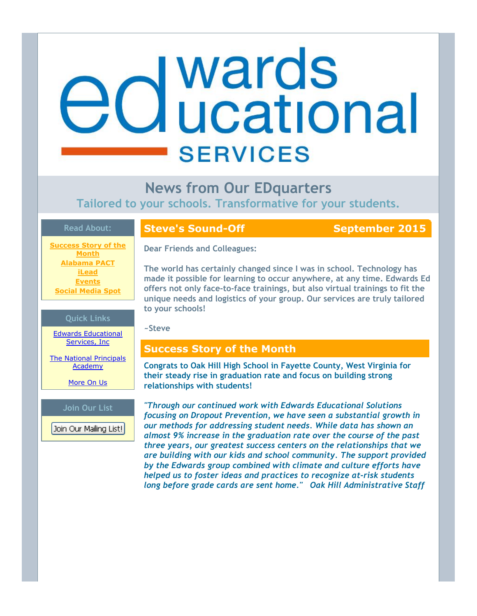# **d** wards<br>**d** ucational **SERVICES**

# **News from Our EDquarters**

**Tailored to your schools. Transformative for your students.**

#### **Read About:**

**Success Story of the Month Alabama PACT iLead Events Social Media Spot**

## **Steve's Sound-Off September 2015**

**Dear Friends and Colleagues:**

**The world has certainly changed since I was in school. Technology has made it possible for learning to occur anywhere, at any time. Edwards Ed offers not only face‐to‐face trainings, but also virtual trainings to fit the unique needs and logistics of your group. Our services are truly tailored to your schools!**

#### **~Steve**

# **Success Story of the Month**

**Congrats to Oak Hill High School in Fayette County, West Virginia for their steady rise in graduation rate and focus on building strong relationships with students!**

*"Through our continued work with Edwards Educational Solutions focusing on Dropout Prevention, we have seen a substantial growth in our methods for addressing student needs. While data has shown an almost 9% increase in the graduation rate over the course of the past three years, our greatest success centers on the relationships that we are building with our kids and school community. The support provided by the Edwards group combined with climate and culture efforts have helped us to foster ideas and practices to recognize at‐risk students long before grade cards are sent home." Oak Hill Administrative Staff*

# **Quick Links**

Edwards Educational Services, Inc.

The National Principals Academy

More On Us

#### **Join Our List**

Join Our Mailing List!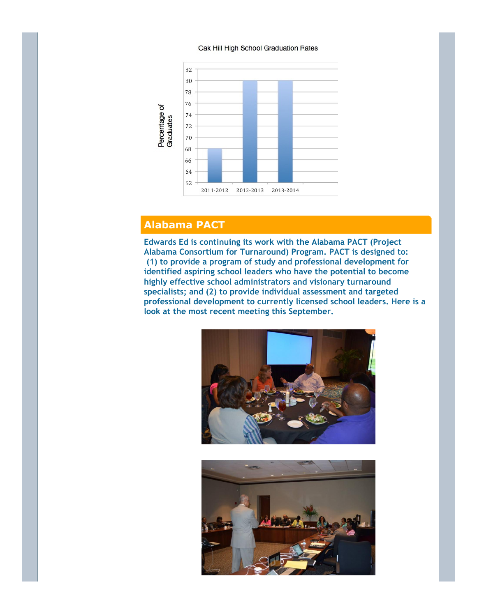#### Oak Hill High School Graduation Rates



# **Alabama PACT**

**Edwards Ed is continuing its work with the Alabama PACT (Project Alabama Consortium for Turnaround) Program. PACT is designed to: (1) to provide a program of study and professional development for identified aspiring school leaders who have the potential to become highly effective school administrators and visionary turnaround specialists; and (2) to provide individual assessment and targeted professional development to currently licensed school leaders. Here is a look at the most recent meeting this September.**



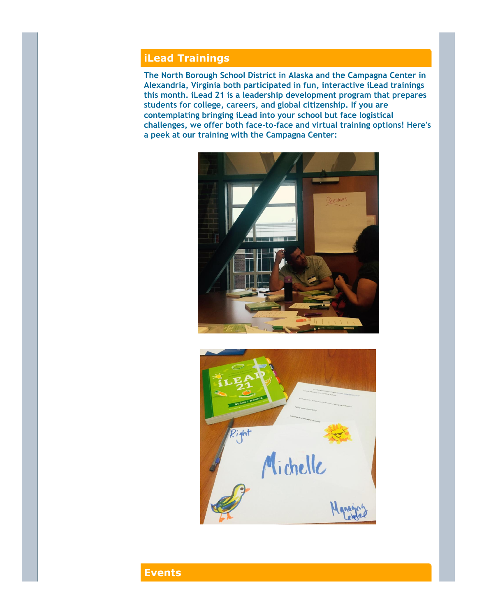# **iLead Trainings**

**The North Borough School District in Alaska and the Campagna Center in Alexandria, Virginia both participated in fun, interactive iLead trainings this month. iLead 21 is a leadership development program that prepares students for college, careers, and global citizenship. If you are contemplating bringing iLead into your school but face logistical challenges, we offer both face‐to‐face and virtual training options! Here's a peek at our training with the Campagna Center:**





# **Events**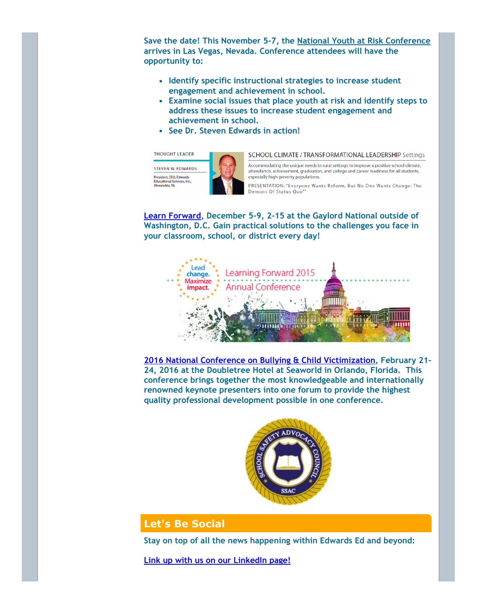**Save the date! This November 5‐7, the National Youth at Risk Conference arrives in Las Vegas, Nevada. Conference attendees will have the opportunity to:**

- **Identify specific instructional strategies to increase student engagement and achievement in school.**
- **Examine social issues that place youth at risk and identify steps to address these issues to increase student engagement and achievement in school.**
- **See Dr. Steven Edwards in action!**

**THOUGHT LEADER STEVEN W. EDWARDS** President, EEO, Edwards Educational Services, Inc.,<br>Alexandria, VA

SCHOOL CLIMATE / TRANSFORMATIONAL LEADERSHIP Settings

Accommodating the unique needs in rural settings to improve a positive school climate. attendance, achievement, graduation, and college and career readiness for all students, especially high-poverty populations.

PRESENTATION: "Everyone Wants Reform, But No One Wants Change: The Demons Of Status Quo"

**Learn Forward, December 5‐9, 2‐15 at the Gaylord National outside of Washington, D.C. Gain practical solutions to the challenges you face in your classroom, school, or district every day!**



**2016 National Conference on Bullying & Child Victimization, February 21‐ 24, 2016 at the Doubletree Hotel at Seaworld in Orlando, Florida. This conference brings together the most knowledgeable and internationally renowned keynote presenters into one forum to provide the highest quality professional development possible in one conference.**



## **Let's Be Social**

**Stay on top of all the news happening within Edwards Ed and beyond:**

**Link up with us on our LinkedIn page!**